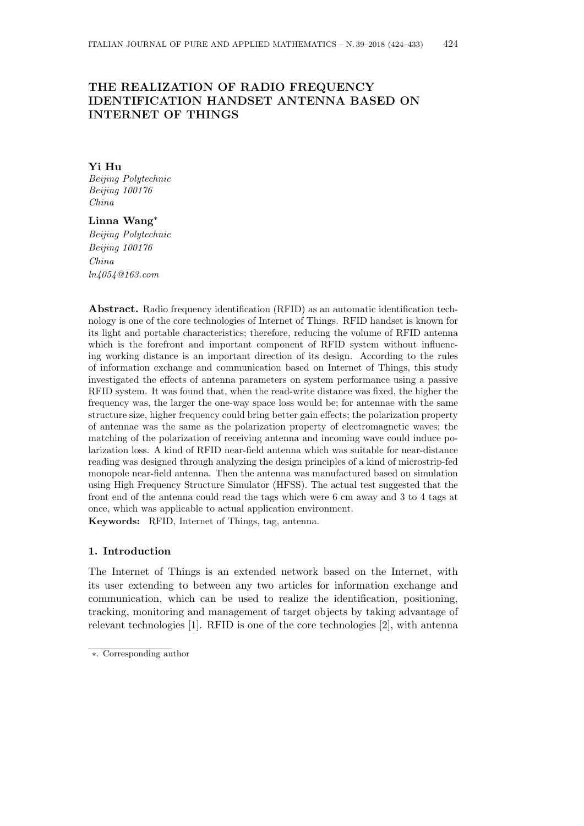# **THE REALIZATION OF RADIO FREQUENCY IDENTIFICATION HANDSET ANTENNA BASED ON INTERNET OF THINGS**

#### **Yi Hu** *Beijing Polytechnic Beijing 100176 China*

# **Linna Wang***∗*

*Beijing Polytechnic Beijing 100176 China ln4054@163.com*

**Abstract.** Radio frequency identification (RFID) as an automatic identification technology is one of the core technologies of Internet of Things. RFID handset is known for its light and portable characteristics; therefore, reducing the volume of RFID antenna which is the forefront and important component of RFID system without influencing working distance is an important direction of its design. According to the rules of information exchange and communication based on Internet of Things, this study investigated the effects of antenna parameters on system performance using a passive RFID system. It was found that, when the read-write distance was fixed, the higher the frequency was, the larger the one-way space loss would be; for antennae with the same structure size, higher frequency could bring better gain effects; the polarization property of antennae was the same as the polarization property of electromagnetic waves; the matching of the polarization of receiving antenna and incoming wave could induce polarization loss. A kind of RFID near-field antenna which was suitable for near-distance reading was designed through analyzing the design principles of a kind of microstrip-fed monopole near-field antenna. Then the antenna was manufactured based on simulation using High Frequency Structure Simulator (HFSS). The actual test suggested that the front end of the antenna could read the tags which were 6 cm away and 3 to 4 tags at once, which was applicable to actual application environment.

**Keywords:** RFID, Internet of Things, tag, antenna.

# **1. Introduction**

The Internet of Things is an extended network based on the Internet, with its user extending to between any two articles for information exchange and communication, which can be used to realize the identification, positioning, tracking, monitoring and management of target objects by taking advantage of relevant technologies [1]. RFID is one of the core technologies [2], with antenna

*<sup>∗</sup>*. Corresponding author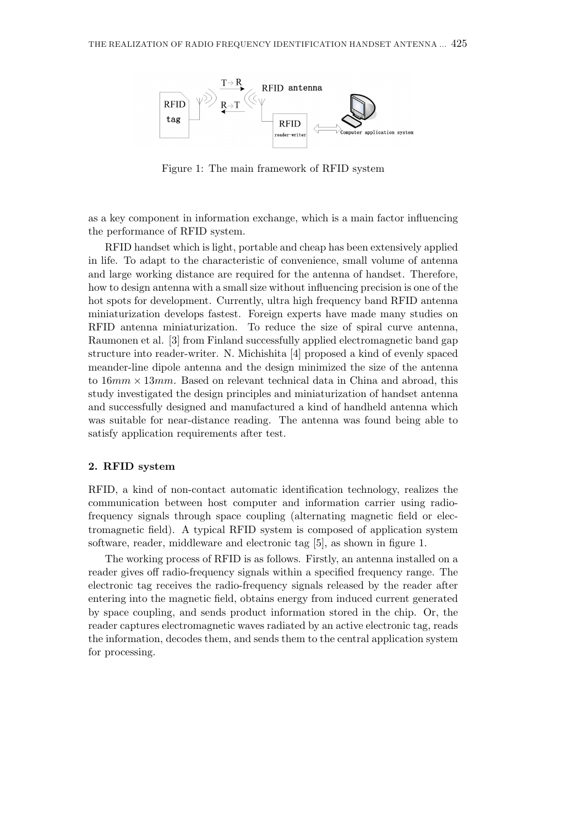

Figure 1: The main framework of RFID system

as a key component in information exchange, which is a main factor influencing the performance of RFID system.

RFID handset which is light, portable and cheap has been extensively applied in life. To adapt to the characteristic of convenience, small volume of antenna and large working distance are required for the antenna of handset. Therefore, how to design antenna with a small size without influencing precision is one of the hot spots for development. Currently, ultra high frequency band RFID antenna miniaturization develops fastest. Foreign experts have made many studies on RFID antenna miniaturization. To reduce the size of spiral curve antenna, Raumonen et al. [3] from Finland successfully applied electromagnetic band gap structure into reader-writer. N. Michishita [4] proposed a kind of evenly spaced meander-line dipole antenna and the design minimized the size of the antenna to 16*mm ×* 13*mm*. Based on relevant technical data in China and abroad, this study investigated the design principles and miniaturization of handset antenna and successfully designed and manufactured a kind of handheld antenna which was suitable for near-distance reading. The antenna was found being able to satisfy application requirements after test.

## **2. RFID system**

RFID, a kind of non-contact automatic identification technology, realizes the communication between host computer and information carrier using radiofrequency signals through space coupling (alternating magnetic field or electromagnetic field). A typical RFID system is composed of application system software, reader, middleware and electronic tag [5], as shown in figure 1.

The working process of RFID is as follows. Firstly, an antenna installed on a reader gives off radio-frequency signals within a specified frequency range. The electronic tag receives the radio-frequency signals released by the reader after entering into the magnetic field, obtains energy from induced current generated by space coupling, and sends product information stored in the chip. Or, the reader captures electromagnetic waves radiated by an active electronic tag, reads the information, decodes them, and sends them to the central application system for processing.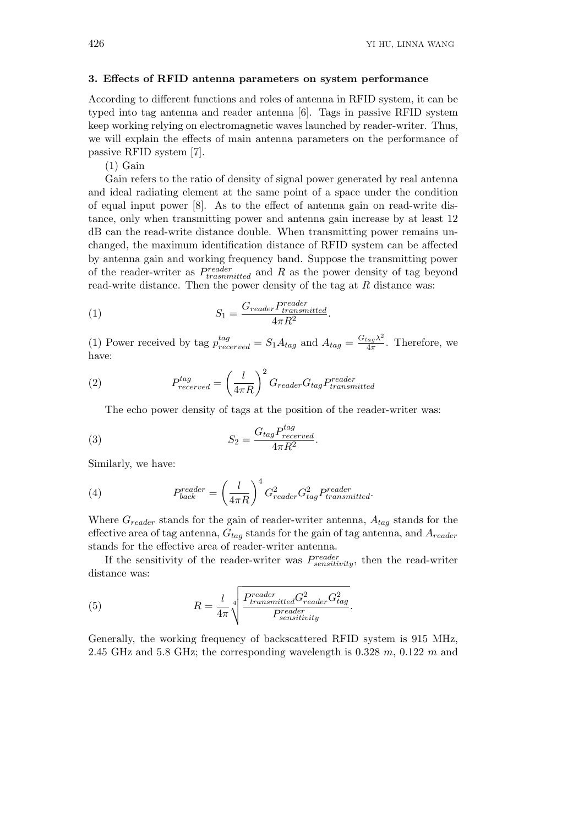#### **3. Effects of RFID antenna parameters on system performance**

According to different functions and roles of antenna in RFID system, it can be typed into tag antenna and reader antenna [6]. Tags in passive RFID system keep working relying on electromagnetic waves launched by reader-writer. Thus, we will explain the effects of main antenna parameters on the performance of passive RFID system [7].

 $(1)$  Gain

Gain refers to the ratio of density of signal power generated by real antenna and ideal radiating element at the same point of a space under the condition of equal input power [8]. As to the effect of antenna gain on read-write distance, only when transmitting power and antenna gain increase by at least 12 dB can the read-write distance double. When transmitting power remains unchanged, the maximum identification distance of RFID system can be affected by antenna gain and working frequency band. Suppose the transmitting power of the reader-writer as *P reader trasnmitted* and *R* as the power density of tag beyond read-write distance. Then the power density of the tag at *R* distance was:

(1) 
$$
S_1 = \frac{G_{reader}P_{transmitted}^{reader}}{4\pi R^2}.
$$

(1) Power received by tag  $p_{recovered}^{tag} = S_1 A_{tag}$  and  $A_{tag} = \frac{G_{tag} \lambda^2}{4\pi}$  $\frac{4a\pi}{4\pi}$ . Therefore, we have:

(2) 
$$
P_{reccerved}^{tag} = \left(\frac{l}{4\pi R}\right)^2 G_{reader} G_{tag} P_{transmitted}^{reader}
$$

The echo power density of tags at the position of the reader-writer was:

(3) 
$$
S_2 = \frac{G_{tag} P_{received}^{tag}}{4\pi R^2}.
$$

Similarly, we have:

(4) 
$$
P_{back}^{reader} = \left(\frac{l}{4\pi R}\right)^4 G_{reader}^2 G_{tag}^2 P_{transmitted}^{reader}.
$$

Where *Greader* stands for the gain of reader-writer antenna, *Atag* stands for the effective area of tag antenna, *Gtag* stands for the gain of tag antenna, and *Areader* stands for the effective area of reader-writer antenna.

If the sensitivity of the reader-writer was *P reader sensitivity*, then the read-writer distance was:

(5) 
$$
R = \frac{l}{4\pi} \sqrt[4]{\frac{Preader}{Pransmitted} G_{reader}^2 G_{tag}^2}{P_{sensitivity}^{reader}}.
$$

Generally, the working frequency of backscattered RFID system is 915 MHz, 2.45 GHz and 5.8 GHz; the corresponding wavelength is 0.328 *m*, 0.122 *m* and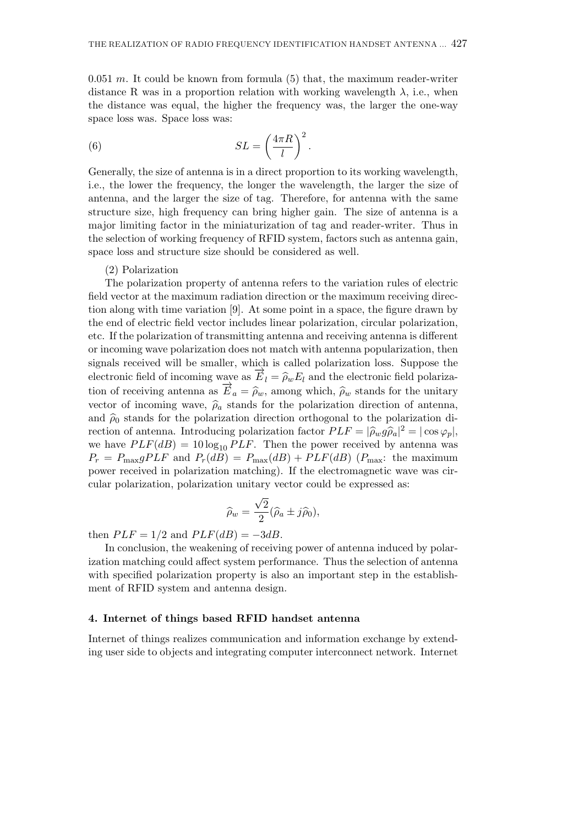0.051 *m*. It could be known from formula (5) that, the maximum reader-writer distance R was in a proportion relation with working wavelength  $\lambda$ , i.e., when the distance was equal, the higher the frequency was, the larger the one-way space loss was. Space loss was:

(6) 
$$
SL = \left(\frac{4\pi R}{l}\right)^2.
$$

Generally, the size of antenna is in a direct proportion to its working wavelength, i.e., the lower the frequency, the longer the wavelength, the larger the size of antenna, and the larger the size of tag. Therefore, for antenna with the same structure size, high frequency can bring higher gain. The size of antenna is a major limiting factor in the miniaturization of tag and reader-writer. Thus in the selection of working frequency of RFID system, factors such as antenna gain, space loss and structure size should be considered as well.

#### (2) Polarization

The polarization property of antenna refers to the variation rules of electric field vector at the maximum radiation direction or the maximum receiving direction along with time variation [9]. At some point in a space, the figure drawn by the end of electric field vector includes linear polarization, circular polarization, etc. If the polarization of transmitting antenna and receiving antenna is different or incoming wave polarization does not match with antenna popularization, then signals received will be smaller, which is called polarization loss. Suppose the electronic field of incoming wave as  $\vec{E}_l = \hat{\rho}_w E_l$  and the electronic field polarization of receiving antenna as  $\overrightarrow{E}_a = \widehat{\rho}_w$ , among which,  $\widehat{\rho}_w$  stands for the unitary vector of incoming wave,  $\hat{\rho}_a$  stands for the polarization direction of antenna, and  $\hat{\rho}_0$  stands for the polarization direction orthogonal to the polarization direction of antenna. Introducing polarization factor  $PLF = |\hat{\rho}_w g \hat{\rho}_a|^2 = |\cos \varphi_p|$ , we have  $PLF(dB) = 10 \log_{10} PLF$ . Then the power received by antenna was  $P_r = P_{\text{max}} gPLF$  and  $P_r(dB) = P_{\text{max}}(dB) + PLF(dB)$  ( $P_{\text{max}}$ : the maximum power received in polarization matching). If the electromagnetic wave was circular polarization, polarization unitary vector could be expressed as:

$$
\widehat{\rho}_w = \frac{\sqrt{2}}{2} (\widehat{\rho}_a \pm j \widehat{\rho}_0),
$$

then  $PLF = 1/2$  and  $PLF(dB) = -3dB$ .

In conclusion, the weakening of receiving power of antenna induced by polarization matching could affect system performance. Thus the selection of antenna with specified polarization property is also an important step in the establishment of RFID system and antenna design.

## **4. Internet of things based RFID handset antenna**

Internet of things realizes communication and information exchange by extending user side to objects and integrating computer interconnect network. Internet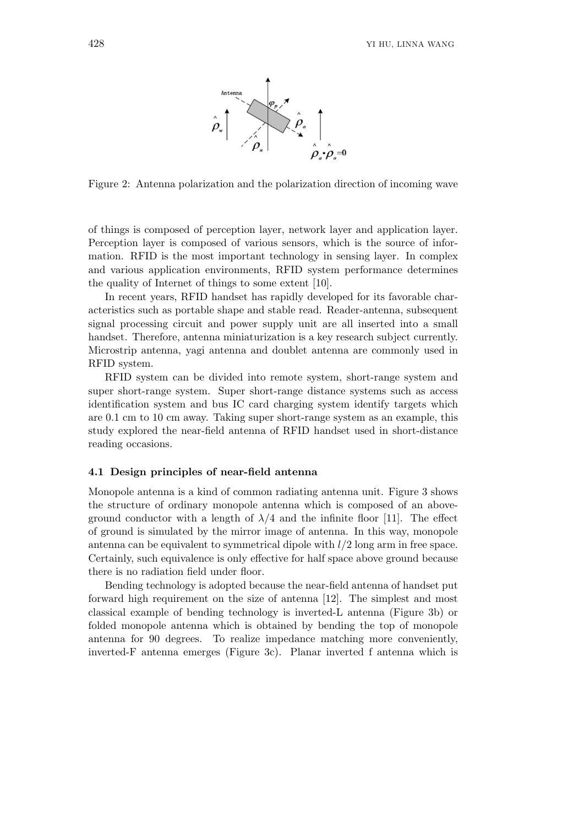

Figure 2: Antenna polarization and the polarization direction of incoming wave

of things is composed of perception layer, network layer and application layer. Perception layer is composed of various sensors, which is the source of information. RFID is the most important technology in sensing layer. In complex and various application environments, RFID system performance determines the quality of Internet of things to some extent [10].

In recent years, RFID handset has rapidly developed for its favorable characteristics such as portable shape and stable read. Reader-antenna, subsequent signal processing circuit and power supply unit are all inserted into a small handset. Therefore, antenna miniaturization is a key research subject currently. Microstrip antenna, yagi antenna and doublet antenna are commonly used in RFID system.

RFID system can be divided into remote system, short-range system and super short-range system. Super short-range distance systems such as access identification system and bus IC card charging system identify targets which are 0.1 cm to 10 cm away. Taking super short-range system as an example, this study explored the near-field antenna of RFID handset used in short-distance reading occasions.

#### **4.1 Design principles of near-field antenna**

Monopole antenna is a kind of common radiating antenna unit. Figure 3 shows the structure of ordinary monopole antenna which is composed of an aboveground conductor with a length of  $\lambda/4$  and the infinite floor [11]. The effect of ground is simulated by the mirror image of antenna. In this way, monopole antenna can be equivalent to symmetrical dipole with *l/*2 long arm in free space. Certainly, such equivalence is only effective for half space above ground because there is no radiation field under floor.

Bending technology is adopted because the near-field antenna of handset put forward high requirement on the size of antenna [12]. The simplest and most classical example of bending technology is inverted-L antenna (Figure 3b) or folded monopole antenna which is obtained by bending the top of monopole antenna for 90 degrees. To realize impedance matching more conveniently, inverted-F antenna emerges (Figure 3c). Planar inverted f antenna which is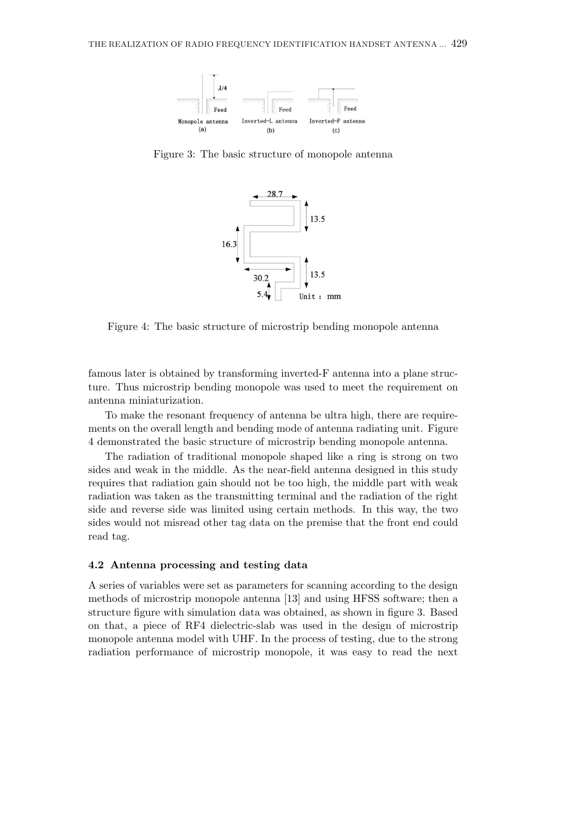

Figure 3: The basic structure of monopole antenna



Figure 4: The basic structure of microstrip bending monopole antenna

famous later is obtained by transforming inverted-F antenna into a plane structure. Thus microstrip bending monopole was used to meet the requirement on antenna miniaturization.

To make the resonant frequency of antenna be ultra high, there are requirements on the overall length and bending mode of antenna radiating unit. Figure 4 demonstrated the basic structure of microstrip bending monopole antenna.

The radiation of traditional monopole shaped like a ring is strong on two sides and weak in the middle. As the near-field antenna designed in this study requires that radiation gain should not be too high, the middle part with weak radiation was taken as the transmitting terminal and the radiation of the right side and reverse side was limited using certain methods. In this way, the two sides would not misread other tag data on the premise that the front end could read tag.

# **4.2 Antenna processing and testing data**

A series of variables were set as parameters for scanning according to the design methods of microstrip monopole antenna [13] and using HFSS software; then a structure figure with simulation data was obtained, as shown in figure 3. Based on that, a piece of RF4 dielectric-slab was used in the design of microstrip monopole antenna model with UHF. In the process of testing, due to the strong radiation performance of microstrip monopole, it was easy to read the next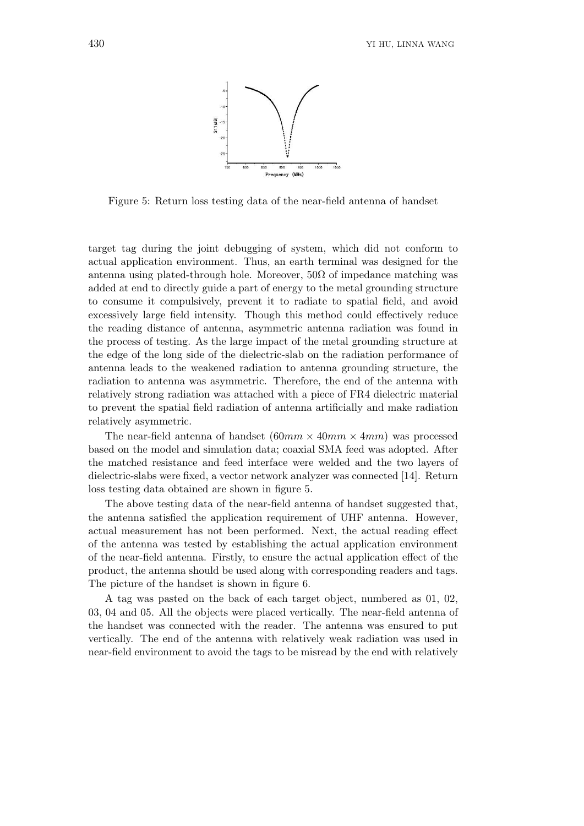

Figure 5: Return loss testing data of the near-field antenna of handset

target tag during the joint debugging of system, which did not conform to actual application environment. Thus, an earth terminal was designed for the antenna using plated-through hole. Moreover,  $50\Omega$  of impedance matching was added at end to directly guide a part of energy to the metal grounding structure to consume it compulsively, prevent it to radiate to spatial field, and avoid excessively large field intensity. Though this method could effectively reduce the reading distance of antenna, asymmetric antenna radiation was found in the process of testing. As the large impact of the metal grounding structure at the edge of the long side of the dielectric-slab on the radiation performance of antenna leads to the weakened radiation to antenna grounding structure, the radiation to antenna was asymmetric. Therefore, the end of the antenna with relatively strong radiation was attached with a piece of FR4 dielectric material to prevent the spatial field radiation of antenna artificially and make radiation relatively asymmetric.

The near-field antenna of handset  $(60mm \times 40mm \times 4mm)$  was processed based on the model and simulation data; coaxial SMA feed was adopted. After the matched resistance and feed interface were welded and the two layers of dielectric-slabs were fixed, a vector network analyzer was connected [14]. Return loss testing data obtained are shown in figure 5.

The above testing data of the near-field antenna of handset suggested that, the antenna satisfied the application requirement of UHF antenna. However, actual measurement has not been performed. Next, the actual reading effect of the antenna was tested by establishing the actual application environment of the near-field antenna. Firstly, to ensure the actual application effect of the product, the antenna should be used along with corresponding readers and tags. The picture of the handset is shown in figure 6.

A tag was pasted on the back of each target object, numbered as 01, 02, 03, 04 and 05. All the objects were placed vertically. The near-field antenna of the handset was connected with the reader. The antenna was ensured to put vertically. The end of the antenna with relatively weak radiation was used in near-field environment to avoid the tags to be misread by the end with relatively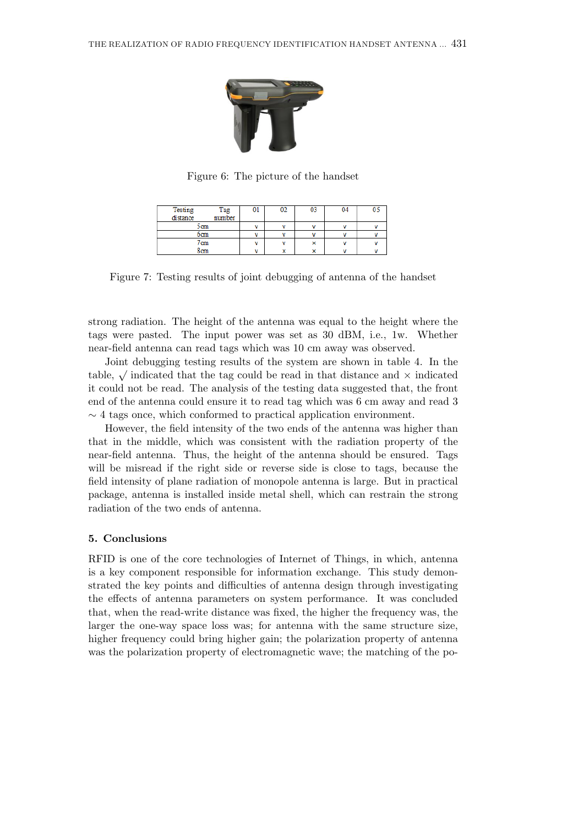

Figure 6: The picture of the handset

| Testing<br>distance | Tag<br>number | UI | vz           | U | 04 | υ. |
|---------------------|---------------|----|--------------|---|----|----|
| 5cm                 |               | v  |              |   |    |    |
| 6cm                 |               | v  |              |   |    |    |
| 7cm                 |               | v  |              | v |    |    |
| 8cm                 |               | v  | $\checkmark$ | v |    |    |

Figure 7: Testing results of joint debugging of antenna of the handset

strong radiation. The height of the antenna was equal to the height where the tags were pasted. The input power was set as 30 dBM, i.e., 1w. Whether near-field antenna can read tags which was 10 cm away was observed.

Joint debugging testing results of the system are shown in table 4. In the table,  $\sqrt{}$  indicated that the tag could be read in that distance and  $\times$  indicated it could not be read. The analysis of the testing data suggested that, the front end of the antenna could ensure it to read tag which was 6 cm away and read 3 *∼* 4 tags once, which conformed to practical application environment.

However, the field intensity of the two ends of the antenna was higher than that in the middle, which was consistent with the radiation property of the near-field antenna. Thus, the height of the antenna should be ensured. Tags will be misread if the right side or reverse side is close to tags, because the field intensity of plane radiation of monopole antenna is large. But in practical package, antenna is installed inside metal shell, which can restrain the strong radiation of the two ends of antenna.

# **5. Conclusions**

RFID is one of the core technologies of Internet of Things, in which, antenna is a key component responsible for information exchange. This study demonstrated the key points and difficulties of antenna design through investigating the effects of antenna parameters on system performance. It was concluded that, when the read-write distance was fixed, the higher the frequency was, the larger the one-way space loss was; for antenna with the same structure size, higher frequency could bring higher gain; the polarization property of antenna was the polarization property of electromagnetic wave; the matching of the po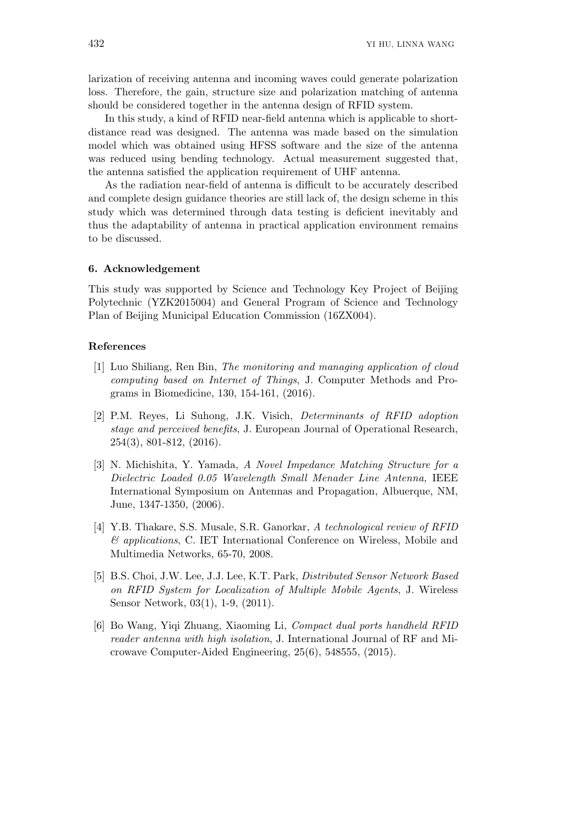larization of receiving antenna and incoming waves could generate polarization loss. Therefore, the gain, structure size and polarization matching of antenna should be considered together in the antenna design of RFID system.

In this study, a kind of RFID near-field antenna which is applicable to shortdistance read was designed. The antenna was made based on the simulation model which was obtained using HFSS software and the size of the antenna was reduced using bending technology. Actual measurement suggested that, the antenna satisfied the application requirement of UHF antenna.

As the radiation near-field of antenna is difficult to be accurately described and complete design guidance theories are still lack of, the design scheme in this study which was determined through data testing is deficient inevitably and thus the adaptability of antenna in practical application environment remains to be discussed.

#### **6. Acknowledgement**

This study was supported by Science and Technology Key Project of Beijing Polytechnic (YZK2015004) and General Program of Science and Technology Plan of Beijing Municipal Education Commission (16ZX004).

## **References**

- [1] Luo Shiliang, Ren Bin, *The monitoring and managing application of cloud computing based on Internet of Things*, J. Computer Methods and Programs in Biomedicine, 130, 154-161, (2016).
- [2] P.M. Reyes, Li Suhong, J.K. Visich, *Determinants of RFID adoption stage and perceived benefits*, J. European Journal of Operational Research, 254(3), 801-812, (2016).
- [3] N. Michishita, Y. Yamada, *A Novel Impedance Matching Structure for a Dielectric Loaded 0.05 Wavelength Small Menader Line Antenna,* IEEE International Symposium on Antennas and Propagation, Albuerque, NM, June, 1347-1350, (2006).
- [4] Y.B. Thakare, S.S. Musale, S.R. Ganorkar, *A technological review of RFID & applications*, C. IET International Conference on Wireless, Mobile and Multimedia Networks, 65-70, 2008.
- [5] B.S. Choi, J.W. Lee, J.J. Lee, K.T. Park, *Distributed Sensor Network Based on RFID System for Localization of Multiple Mobile Agents*, J. Wireless Sensor Network, 03(1), 1-9, (2011).
- [6] Bo Wang, Yiqi Zhuang, Xiaoming Li, *Compact dual ports handheld RFID reader antenna with high isolation*, J. International Journal of RF and Microwave Computer-Aided Engineering, 25(6), 548555, (2015).